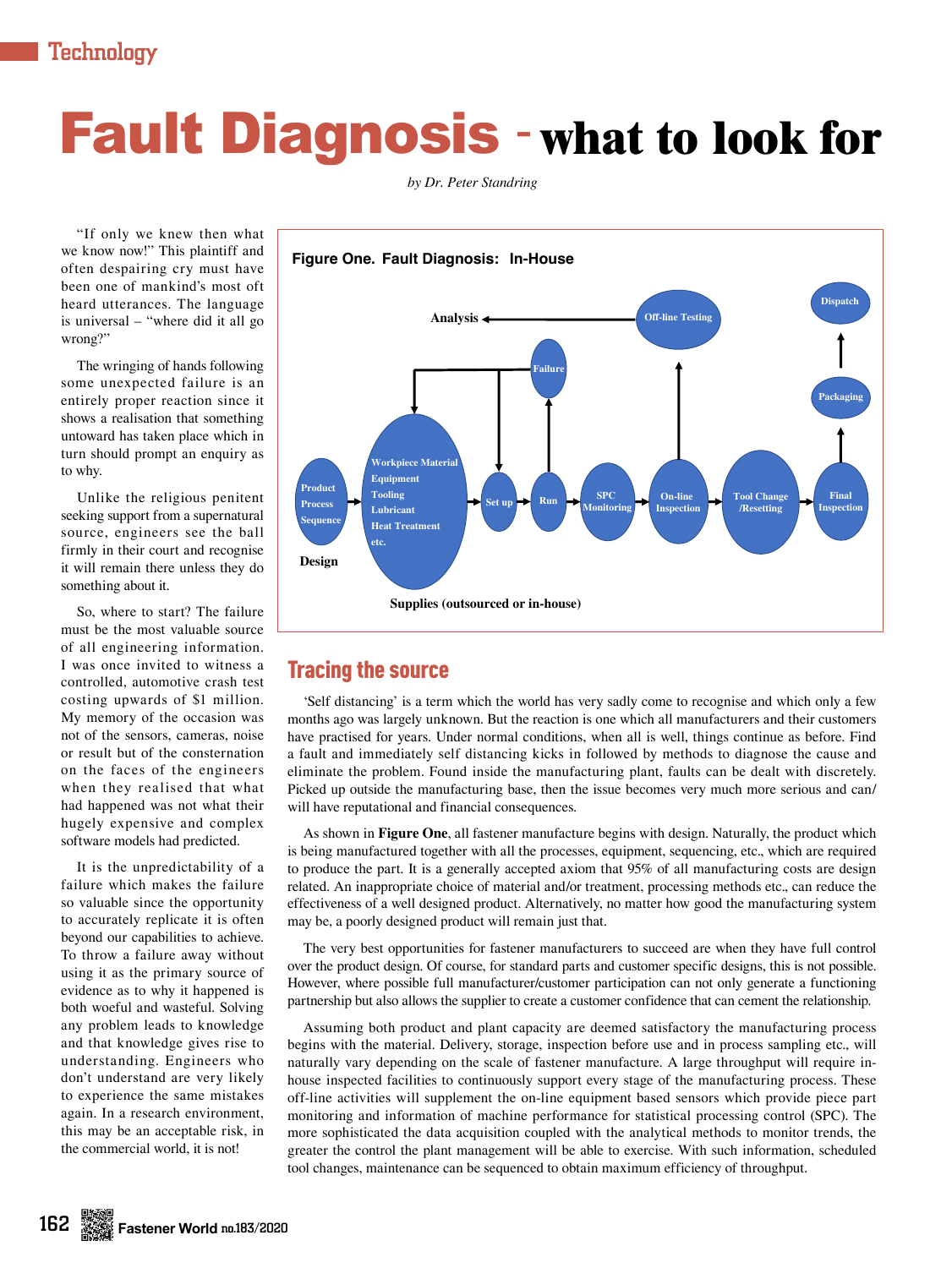# Fault Diagnosis - **what to look for**

*by Dr. Peter Standring*

"If only we knew then what we know now!" This plaintiff and often despairing cry must have been one of mankind's most oft heard utterances. The language is universal – "where did it all go wrong?"

The wringing of hands following some unexpected failure is an entirely proper reaction since it shows a realisation that something untoward has taken place which in turn should prompt an enquiry as to why.

Unlike the religious penitent seeking support from a supernatural source, engineers see the ball firmly in their court and recognise it will remain there unless they do something about it.

So, where to start? The failure must be the most valuable source of all engineering information. I was once invited to witness a controlled, automotive crash test costing upwards of \$1 million. My memory of the occasion was not of the sensors, cameras, noise or result but of the consternation on the faces of the engineers when they realised that what had happened was not what their hugely expensive and complex software models had predicted.

It is the unpredictability of a failure which makes the failure so valuable since the opportunity to accurately replicate it is often beyond our capabilities to achieve. To throw a failure away without using it as the primary source of evidence as to why it happened is both woeful and wasteful. Solving any problem leads to knowledge and that knowledge gives rise to understanding. Engineers who don't understand are very likely to experience the same mistakes again. In a research environment, this may be an acceptable risk, in the commercial world, it is not!



## Tracing the source

'Self distancing' is a term which the world has very sadly come to recognise and which only a few months ago was largely unknown. But the reaction is one which all manufacturers and their customers have practised for years. Under normal conditions, when all is well, things continue as before. Find a fault and immediately self distancing kicks in followed by methods to diagnose the cause and eliminate the problem. Found inside the manufacturing plant, faults can be dealt with discretely. Picked up outside the manufacturing base, then the issue becomes very much more serious and can/ will have reputational and financial consequences.

As shown in **Figure One**, all fastener manufacture begins with design. Naturally, the product which is being manufactured together with all the processes, equipment, sequencing, etc., which are required to produce the part. It is a generally accepted axiom that 95% of all manufacturing costs are design related. An inappropriate choice of material and/or treatment, processing methods etc., can reduce the effectiveness of a well designed product. Alternatively, no matter how good the manufacturing system may be, a poorly designed product will remain just that.

The very best opportunities for fastener manufacturers to succeed are when they have full control over the product design. Of course, for standard parts and customer specific designs, this is not possible. However, where possible full manufacturer/customer participation can not only generate a functioning partnership but also allows the supplier to create a customer confidence that can cement the relationship.

Assuming both product and plant capacity are deemed satisfactory the manufacturing process begins with the material. Delivery, storage, inspection before use and in process sampling etc., will naturally vary depending on the scale of fastener manufacture. A large throughput will require inhouse inspected facilities to continuously support every stage of the manufacturing process. These off-line activities will supplement the on-line equipment based sensors which provide piece part monitoring and information of machine performance for statistical processing control (SPC). The more sophisticated the data acquisition coupled with the analytical methods to monitor trends, the greater the control the plant management will be able to exercise. With such information, scheduled tool changes, maintenance can be sequenced to obtain maximum efficiency of throughput.